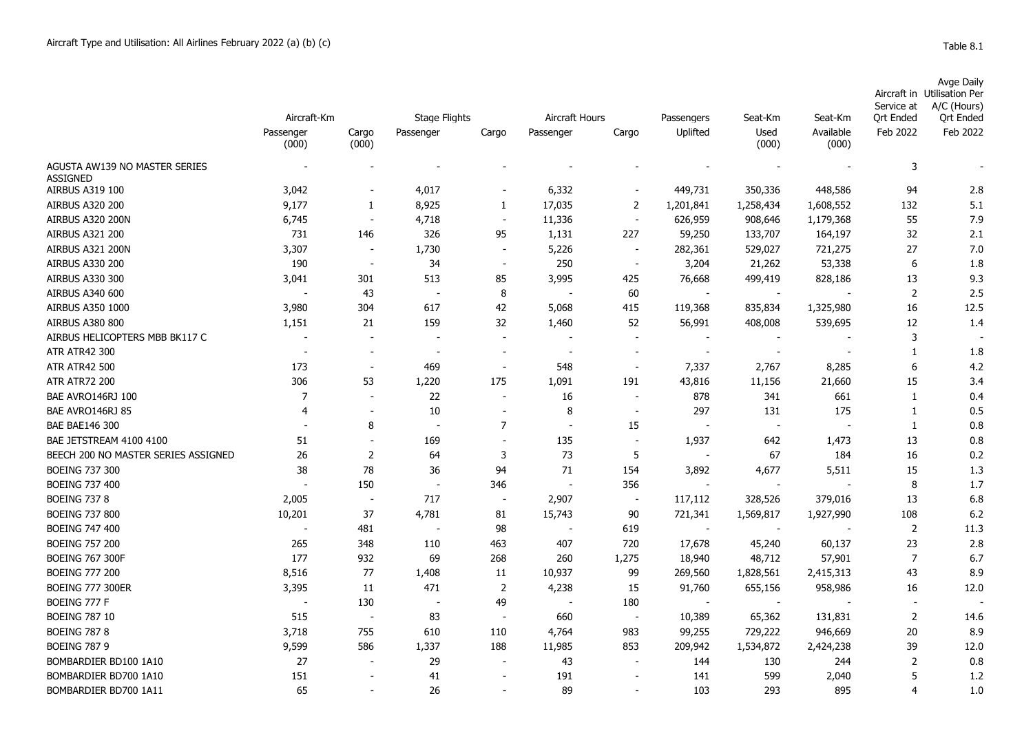|                                       |                          |                          |                                   |                          |                                      |                                 |                                   |                 |                      | Service at                   | Avge Daily<br>Aircraft in Utilisation Per<br>A/C (Hours) |
|---------------------------------------|--------------------------|--------------------------|-----------------------------------|--------------------------|--------------------------------------|---------------------------------|-----------------------------------|-----------------|----------------------|------------------------------|----------------------------------------------------------|
|                                       | Aircraft-Km<br>Passenger | Cargo                    | <b>Stage Flights</b><br>Passenger | Cargo                    | Aircraft Hours<br>Cargo<br>Passenger |                                 | Passengers<br>Uplifted            | Seat-Km<br>Used | Seat-Km<br>Available | <b>Ort Ended</b><br>Feb 2022 | <b>Qrt Ended</b><br>Feb 2022                             |
|                                       | (000)                    | (000)                    |                                   |                          |                                      |                                 |                                   | (000)           | (000)                |                              |                                                          |
| AGUSTA AW139 NO MASTER SERIES         |                          |                          |                                   |                          |                                      |                                 |                                   |                 |                      | 3                            |                                                          |
| <b>ASSIGNED</b><br>AIRBUS A319 100    | 3,042                    |                          | 4,017                             |                          | 6,332                                |                                 | 449,731                           | 350,336         | 448,586              | 94                           | 2.8                                                      |
| <b>AIRBUS A320 200</b>                | 9,177                    | 1                        | 8,925                             | 1                        | 17,035                               | $\overline{2}$                  | 1,201,841                         | 1,258,434       | 1,608,552            | 132                          | 5.1                                                      |
| AIRBUS A320 200N                      | 6,745                    | $\sim$                   | 4,718                             | $\sim$                   | 11,336                               | $\overline{\phantom{a}}$        | 626,959                           | 908,646         | 1,179,368            | 55                           | 7.9                                                      |
| <b>AIRBUS A321 200</b>                | 731                      | 146                      | 326                               | 95                       | 1,131                                | 227                             | 59,250                            | 133,707         | 164,197              | 32                           | 2.1                                                      |
| AIRBUS A321 200N                      | 3,307                    | $\overline{\phantom{a}}$ | 1,730                             | $\overline{\phantom{a}}$ | 5,226                                | $\overline{\phantom{a}}$        | 282,361                           | 529,027         | 721,275              | 27                           | 7.0                                                      |
| <b>AIRBUS A330 200</b>                | 190                      | $\overline{\phantom{a}}$ | 34                                | $\overline{\phantom{a}}$ | 250                                  | $\overline{\phantom{a}}$        | 3,204                             | 21,262          | 53,338               | 6                            | 1.8                                                      |
| <b>AIRBUS A330 300</b>                | 3,041                    | 301                      | 513                               | 85                       | 3,995                                | 425                             | 76,668                            | 499,419         | 828,186              | 13                           | 9.3                                                      |
| AIRBUS A340 600                       |                          | 43                       | $\sim$                            | 8                        |                                      | 60                              | $\overline{a}$                    |                 |                      | $\overline{2}$               | 2.5                                                      |
| AIRBUS A350 1000                      | 3,980                    | 304                      | 617                               | 42                       | 5,068                                | 415                             | 119,368                           | 835,834         | 1,325,980            | 16                           | 12.5                                                     |
| <b>AIRBUS A380 800</b>                | 1,151                    | 21                       | 159                               | 32                       | 1,460                                | 52                              | 56,991                            | 408,008         | 539,695              | 12                           | 1.4                                                      |
| AIRBUS HELICOPTERS MBB BK117 C        |                          |                          |                                   |                          |                                      |                                 |                                   |                 |                      | 3                            |                                                          |
| <b>ATR ATR42 300</b>                  |                          | $\sim$                   | $\sim$                            | $\overline{\phantom{a}}$ |                                      | $\sim$                          | $\overline{a}$                    | $\sim$          |                      | $\mathbf{1}$                 | 1.8                                                      |
| <b>ATR ATR42 500</b>                  | 173                      | $\blacksquare$           | 469                               |                          | 548                                  | $\overline{\phantom{a}}$        | 7,337                             | 2,767           | 8,285                | 6                            | 4.2                                                      |
| <b>ATR ATR72 200</b>                  |                          | 53                       |                                   | 175                      |                                      |                                 |                                   |                 |                      | 15                           |                                                          |
|                                       | 306<br>$\overline{7}$    | $\overline{\phantom{a}}$ | 1,220<br>22                       | $\overline{\phantom{a}}$ | 1,091<br>16                          | 191<br>$\overline{\phantom{a}}$ | 43,816<br>878                     | 11,156<br>341   | 21,660<br>661        | $\mathbf{1}$                 | 3.4<br>0.4                                               |
| BAE AVRO146RJ 100<br>BAE AVRO146RJ 85 | $\overline{4}$           | $\overline{\phantom{a}}$ | 10                                | $\sim$                   | 8                                    | $\sim$                          | 297                               | 131             | 175                  | 1                            | 0.5                                                      |
|                                       |                          |                          | $\sim$                            |                          |                                      |                                 | $\overline{a}$                    | $\sim$          |                      |                              |                                                          |
| <b>BAE BAE146 300</b>                 |                          | 8                        |                                   | $\boldsymbol{7}$         |                                      | 15                              |                                   |                 |                      | 1                            | 0.8                                                      |
| BAE JETSTREAM 4100 4100               | 51                       | $\overline{\phantom{a}}$ | 169                               |                          | 135<br>73                            | $\overline{\phantom{a}}$        | 1,937<br>$\overline{\phantom{a}}$ | 642             | 1,473                | 13                           | 0.8                                                      |
| BEECH 200 NO MASTER SERIES ASSIGNED   | 26                       | $\overline{2}$           | 64                                | 3                        |                                      | 5                               |                                   | 67              | 184                  | 16                           | 0.2                                                      |
| <b>BOEING 737 300</b>                 | 38                       | 78                       | 36                                | 94                       | 71                                   | 154                             | 3,892                             | 4,677           | 5,511                | 15                           | 1.3                                                      |
| <b>BOEING 737 400</b>                 |                          | 150                      |                                   | 346                      |                                      | 356                             |                                   |                 |                      | 8                            | 1.7                                                      |
| <b>BOEING 737 8</b>                   | 2,005                    |                          | 717                               |                          | 2,907                                | $\overline{\phantom{a}}$        | 117,112                           | 328,526         | 379,016              | 13                           | 6.8                                                      |
| <b>BOEING 737 800</b>                 | 10,201                   | 37                       | 4,781                             | 81                       | 15,743                               | 90                              | 721,341                           | 1,569,817       | 1,927,990            | 108                          | 6.2                                                      |
| <b>BOEING 747 400</b>                 |                          | 481                      | $\sim$                            | 98                       |                                      | 619                             | $\sim$                            |                 |                      | 2                            | 11.3                                                     |
| <b>BOEING 757 200</b>                 | 265                      | 348                      | 110                               | 463                      | 407                                  | 720                             | 17,678                            | 45,240          | 60,137               | 23                           | 2.8                                                      |
| <b>BOEING 767 300F</b>                | 177                      | 932                      | 69                                | 268                      | 260                                  | 1,275                           | 18,940                            | 48,712          | 57,901               | $\overline{7}$               | 6.7                                                      |
| <b>BOEING 777 200</b>                 | 8,516                    | 77                       | 1,408                             | 11                       | 10,937                               | 99                              | 269,560                           | 1,828,561       | 2,415,313            | 43                           | 8.9                                                      |
| <b>BOEING 777 300ER</b>               | 3,395                    | 11                       | 471                               | $\overline{2}$           | 4,238                                | 15                              | 91,760                            | 655,156         | 958,986              | 16                           | 12.0                                                     |
| BOEING 777 F                          |                          | 130                      | $\overline{\phantom{a}}$          | 49                       |                                      | 180                             | $\overline{a}$                    |                 |                      | $\overline{\phantom{a}}$     |                                                          |
| <b>BOEING 787 10</b>                  | 515                      | $\sim$                   | 83                                | $\overline{\phantom{a}}$ | 660                                  | $\overline{\phantom{a}}$        | 10,389                            | 65,362          | 131,831              | $\overline{2}$               | 14.6                                                     |
| <b>BOEING 787 8</b>                   | 3,718                    | 755                      | 610                               | 110                      | 4,764                                | 983                             | 99,255                            | 729,222         | 946,669              | 20                           | 8.9                                                      |
| <b>BOEING 787 9</b>                   | 9,599                    | 586                      | 1,337                             | 188                      | 11,985                               | 853                             | 209,942                           | 1,534,872       | 2,424,238            | 39                           | 12.0                                                     |
| BOMBARDIER BD100 1A10                 | 27                       |                          | 29                                |                          | 43                                   |                                 | 144                               | 130             | 244                  | $\overline{2}$               | 0.8                                                      |
| BOMBARDIER BD700 1A10                 | 151                      |                          | 41                                |                          | 191                                  |                                 | 141                               | 599             | 2,040                | 5                            | 1.2                                                      |
| BOMBARDIER BD700 1A11                 | 65                       |                          | 26                                |                          | 89                                   |                                 | 103                               | 293             | 895                  | $\overline{4}$               | 1.0                                                      |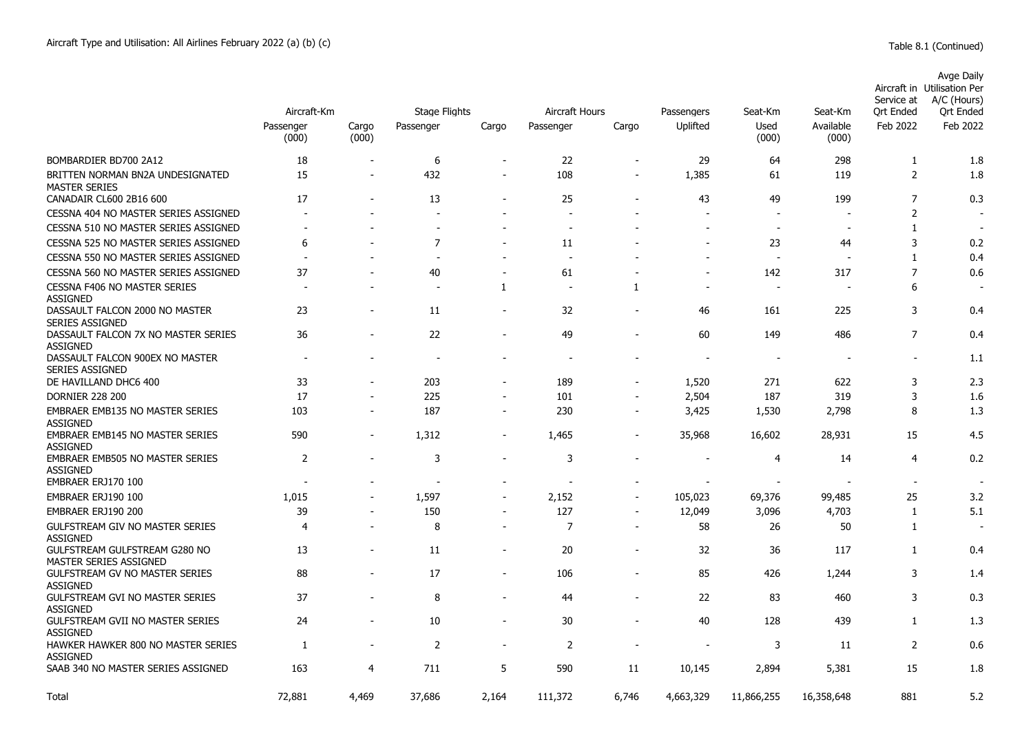|                                                            | Aircraft-Km        | <b>Stage Flights</b> |                |                              | Aircraft Hours           |                          |                        | Seat-Km           | Seat-Km            | Service at<br><b>Ort Ended</b> | Avge Daily<br>Aircraft in Utilisation Per<br>A/C (Hours)<br><b>Ort Ended</b> |
|------------------------------------------------------------|--------------------|----------------------|----------------|------------------------------|--------------------------|--------------------------|------------------------|-------------------|--------------------|--------------------------------|------------------------------------------------------------------------------|
|                                                            | Passenger<br>(000) | Cargo<br>(000)       | Passenger      | Cargo                        | Passenger                | Cargo                    | Passengers<br>Uplifted | Used<br>(000)     | Available<br>(000) | Feb 2022                       | Feb 2022                                                                     |
| BOMBARDIER BD700 2A12                                      | 18                 | $\qquad \qquad$      | 6              | $\overline{\phantom{a}}$     | 22                       | $\blacksquare$           | 29                     | 64                | 298                | $\mathbf{1}$                   | 1.8                                                                          |
| BRITTEN NORMAN BN2A UNDESIGNATED<br><b>MASTER SERIES</b>   | 15                 | $\qquad \qquad$      | 432            | $\qquad \qquad \blacksquare$ | 108                      | $\overline{\phantom{a}}$ | 1,385                  | 61                | 119                | $\overline{2}$                 | 1.8                                                                          |
| CANADAIR CL600 2B16 600                                    | 17                 |                      | 13             |                              | 25                       |                          | 43                     | 49                | 199                | $\overline{7}$                 | 0.3                                                                          |
| CESSNA 404 NO MASTER SERIES ASSIGNED                       |                    |                      | $\sim$         |                              | ÷                        |                          |                        | $\overline{a}$    |                    | $\overline{2}$                 |                                                                              |
| CESSNA 510 NO MASTER SERIES ASSIGNED                       |                    |                      |                |                              |                          |                          |                        | $\blacksquare$    |                    | $\mathbf{1}$                   |                                                                              |
| CESSNA 525 NO MASTER SERIES ASSIGNED                       | 6                  |                      | $\overline{7}$ |                              | 11                       |                          |                        | 23                | 44                 | 3                              | 0.2                                                                          |
| CESSNA 550 NO MASTER SERIES ASSIGNED                       |                    |                      |                |                              |                          |                          |                        |                   |                    | $\mathbf{1}$                   | 0.4                                                                          |
| CESSNA 560 NO MASTER SERIES ASSIGNED                       | 37                 |                      | 40             |                              | 61                       |                          |                        | 142               | 317                | $\overline{7}$                 | 0.6                                                                          |
| <b>CESSNA F406 NO MASTER SERIES</b><br><b>ASSIGNED</b>     |                    |                      | ٠              | 1                            | $\overline{\phantom{a}}$ | 1                        |                        | $\qquad \qquad -$ |                    | 6                              |                                                                              |
| DASSAULT FALCON 2000 NO MASTER<br><b>SERIES ASSIGNED</b>   | 23                 | ۰                    | 11             | $\overline{a}$               | 32                       | $\overline{\phantom{a}}$ | 46                     | 161               | 225                | 3                              | 0.4                                                                          |
| DASSAULT FALCON 7X NO MASTER SERIES<br><b>ASSIGNED</b>     | 36                 |                      | 22             |                              | 49                       |                          | 60                     | 149               | 486                | $\overline{7}$                 | 0.4                                                                          |
| DASSAULT FALCON 900EX NO MASTER<br><b>SERIES ASSIGNED</b>  |                    |                      |                |                              |                          |                          |                        |                   |                    |                                | 1.1                                                                          |
| DE HAVILLAND DHC6 400                                      | 33                 |                      | 203            | $\overline{a}$               | 189                      |                          | 1,520                  | 271               | 622                | 3                              | 2.3                                                                          |
| <b>DORNIER 228 200</b>                                     | 17                 |                      | 225            |                              | 101                      |                          | 2,504                  | 187               | 319                | 3                              | 1.6                                                                          |
| <b>EMBRAER EMB135 NO MASTER SERIES</b><br><b>ASSIGNED</b>  | 103                | $\overline{a}$       | 187            |                              | 230                      | $\overline{\phantom{a}}$ | 3,425                  | 1,530             | 2,798              | 8                              | 1.3                                                                          |
| <b>EMBRAER EMB145 NO MASTER SERIES</b><br><b>ASSIGNED</b>  | 590                | $\overline{a}$       | 1,312          | $\overline{\phantom{0}}$     | 1,465                    |                          | 35,968                 | 16,602            | 28,931             | 15                             | 4.5                                                                          |
| <b>EMBRAER EMB505 NO MASTER SERIES</b><br><b>ASSIGNED</b>  | $\overline{2}$     |                      | 3              |                              | 3                        |                          |                        | 4                 | 14                 | 4                              | 0.2                                                                          |
| EMBRAER ERJ170 100                                         |                    |                      |                | $\overline{\phantom{a}}$     |                          |                          |                        | $\sim$            |                    | $\sim$                         |                                                                              |
| EMBRAER ERJ190 100                                         | 1,015              |                      | 1,597          |                              | 2,152                    |                          | 105,023                | 69,376            | 99,485             | 25                             | 3.2                                                                          |
| EMBRAER ERJ190 200                                         | 39                 |                      | 150            | $\overline{\phantom{a}}$     | 127                      | $\overline{\phantom{a}}$ | 12,049                 | 3,096             | 4,703              | $\mathbf{1}$                   | 5.1                                                                          |
| <b>GULFSTREAM GIV NO MASTER SERIES</b><br><b>ASSIGNED</b>  | $\overline{4}$     |                      | 8              |                              | $\overline{7}$           |                          | 58                     | 26                | 50                 | $\mathbf{1}$                   |                                                                              |
| GULFSTREAM GULFSTREAM G280 NO<br>MASTER SERIES ASSIGNED    | 13                 |                      | 11             | $\overline{a}$               | 20                       | $\overline{\phantom{m}}$ | 32                     | 36                | 117                | $\mathbf{1}$                   | 0.4                                                                          |
| <b>GULFSTREAM GV NO MASTER SERIES</b><br><b>ASSIGNED</b>   | 88                 | $\overline{a}$       | 17             | $\overline{\phantom{a}}$     | 106                      | $\overline{\phantom{a}}$ | 85                     | 426               | 1,244              | 3                              | 1.4                                                                          |
| <b>GULFSTREAM GVI NO MASTER SERIES</b><br>ASSIGNED         | 37                 |                      | 8              | $\overline{\phantom{a}}$     | 44                       | $\overline{\phantom{a}}$ | 22                     | 83                | 460                | 3                              | 0.3                                                                          |
| <b>GULFSTREAM GVII NO MASTER SERIES</b><br><b>ASSIGNED</b> | 24                 |                      | 10             | $\overline{a}$               | 30                       |                          | 40                     | 128               | 439                | $\mathbf{1}$                   | 1.3                                                                          |
| HAWKER HAWKER 800 NO MASTER SERIES<br><b>ASSIGNED</b>      | 1                  |                      | $\overline{2}$ | $\blacksquare$               | $\overline{2}$           |                          |                        | 3                 | 11                 | 2                              | 0.6                                                                          |
| SAAB 340 NO MASTER SERIES ASSIGNED                         | 163                | 4                    | 711            | 5                            | 590                      | 11                       | 10,145                 | 2,894             | 5,381              | 15                             | 1.8                                                                          |
| Total                                                      | 72,881             | 4.469                | 37,686         | 2,164                        | 111,372                  | 6,746                    | 4,663,329              | 11,866,255        | 16,358,648         | 881                            | 5.2                                                                          |